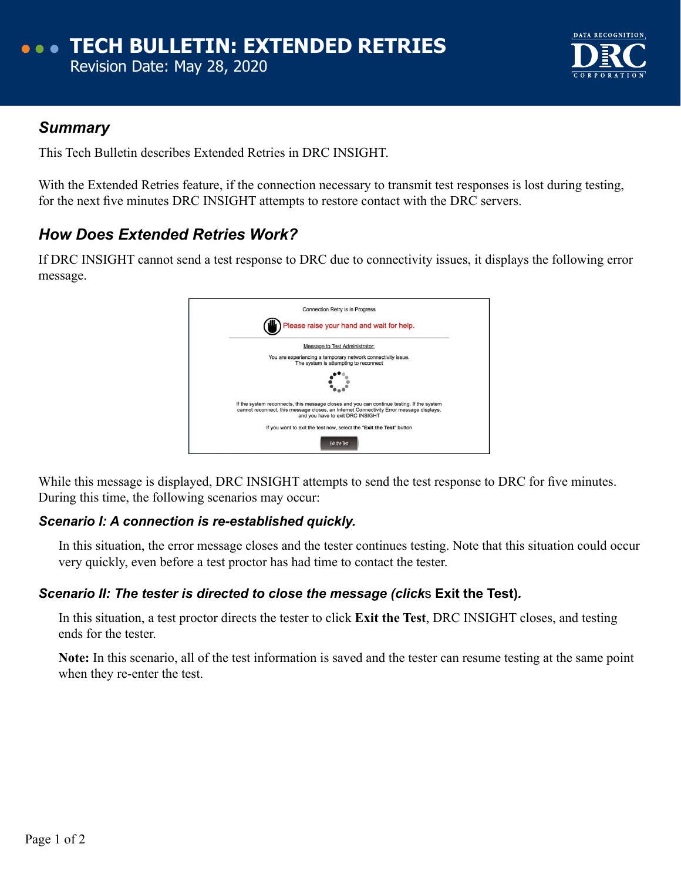

## *Summary*

This Tech Bulletin describes Extended Retries in DRC INSIGHT.

With the Extended Retries feature, if the connection necessary to transmit test responses is lost during testing, for the next five minutes DRC INSIGHT attempts to restore contact with the DRC servers.

# *How Does Extended Retries Work?*

If DRC INSIGHT cannot send a test response to DRC due to connectivity issues, it displays the following error message.



While this message is displayed, DRC INSIGHT attempts to send the test response to DRC for five minutes. During this time, the following scenarios may occur:

### *Scenario I: A connection is re-established quickly.*

In this situation, the error message closes and the tester continues testing. Note that this situation could occur very quickly, even before a test proctor has had time to contact the tester.

### *Scenario II: The tester is directed to close the message (click*s **Exit the Test)***.*

In this situation, a test proctor directs the tester to click **Exit the Test**, DRC INSIGHT closes, and testing ends for the tester.

**Note:** In this scenario, all of the test information is saved and the tester can resume testing at the same point when they re-enter the test.